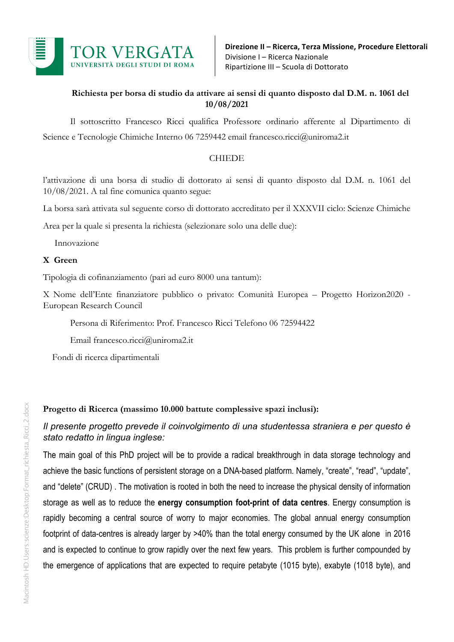

## **Richiesta per borsa di studio da attivare ai sensi di quanto disposto dal D.M. n. 1061 del 10/08/2021**

Il sottoscritto Francesco Ricci qualifica Professore ordinario afferente al Dipartimento di Science e Tecnologie Chimiche Interno 06 7259442 email francesco.ricci@uniroma2.it

### CHIEDE

l'attivazione di una borsa di studio di dottorato ai sensi di quanto disposto dal D.M. n. 1061 del 10/08/2021. A tal fine comunica quanto segue:

La borsa sarà attivata sul seguente corso di dottorato accreditato per il XXXVII ciclo: Scienze Chimiche

Area per la quale si presenta la richiesta (selezionare solo una delle due):

Innovazione

### **X Green**

Tipologia di cofinanziamento (pari ad euro 8000 una tantum):

X Nome dell'Ente finanziatore pubblico o privato: Comunità Europea – Progetto Horizon2020 - European Research Council

Persona di Riferimento: Prof. Francesco Ricci Telefono 06 72594422

Email francesco.ricci@uniroma2.it

Fondi di ricerca dipartimentali

**Progetto di Ricerca (massimo 10.000 battute complessive spazi inclusi):**

# *Il presente progetto prevede il coinvolgimento di una studentessa straniera e per questo è stato redatto in lingua inglese:*

The main goal of this PhD project will be to provide a radical breakthrough in data storage technology and achieve the basic functions of persistent storage on a DNA-based platform. Namely, "create", "read", "update", and "delete" (CRUD) . The motivation is rooted in both the need to increase the physical density of information storage as well as to reduce the **energy consumption foot-print of data centres**. Energy consumption is rapidly becoming a central source of worry to major economies. The global annual energy consumption footprint of data-centres is already larger by >40% than the total energy consumed by the UK alone in 2016 and is expected to continue to grow rapidly over the next few years. This problem is further compounded by the emergence of applications that are expected to require petabyte (1015 byte), exabyte (1018 byte), and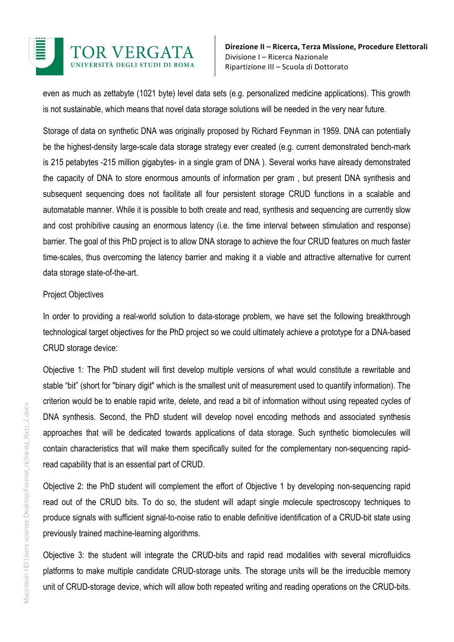

even as much as zettabyte (1021 byte) level data sets (e.g. personalized medicine applications). This growth is not sustainable, which means that novel data storage solutions will be needed in the very near future.

Storage of data on synthetic DNA was originally proposed by Richard Feynman in 1959. DNA can potentially be the highest-density large-scale data storage strategy ever created (e.g. current demonstrated bench-mark is 215 petabytes -215 million gigabytes- in a single gram of DNA ). Several works have already demonstrated the capacity of DNA to store enormous amounts of information per gram , but present DNA synthesis and subsequent sequencing does not facilitate all four persistent storage CRUD functions in a scalable and automatable manner. While it is possible to both create and read, synthesis and sequencing are currently slow and cost prohibitive causing an enormous latency (i.e. the time interval between stimulation and response) barrier. The goal of this PhD project is to allow DNA storage to achieve the four CRUD features on much faster time-scales, thus overcoming the latency barrier and making it a viable and attractive alternative for current data storage state-of-the-art.

### Project Objectives

In order to providing a real-world solution to data-storage problem, we have set the following breakthrough technological target objectives for the PhD project so we could ultimately achieve a prototype for a DNA-based CRUD storage device:

Objective 1: The PhD student will first develop multiple versions of what would constitute a rewritable and stable "bit" (short for "binary digit" which is the smallest unit of measurement used to quantify information). The criterion would be to enable rapid write, delete, and read a bit of information without using repeated cycles of DNA synthesis. Second, the PhD student will develop novel encoding methods and associated synthesis approaches that will be dedicated towards applications of data storage. Such synthetic biomolecules will contain characteristics that will make them specifically suited for the complementary non-sequencing rapidread capability that is an essential part of CRUD.

Objective 2: the PhD student will complement the effort of Objective 1 by developing non-sequencing rapid read out of the CRUD bits. To do so, the student will adapt single molecule spectroscopy techniques to produce signals with sufficient signal-to-noise ratio to enable definitive identification of a CRUD-bit state using previously trained machine-learning algorithms.

Objective 3: the student will integrate the CRUD-bits and rapid read modalities with several microfluidics platforms to make multiple candidate CRUD-storage units. The storage units will be the irreducible memory unit of CRUD-storage device, which will allow both repeated writing and reading operations on the CRUD-bits.